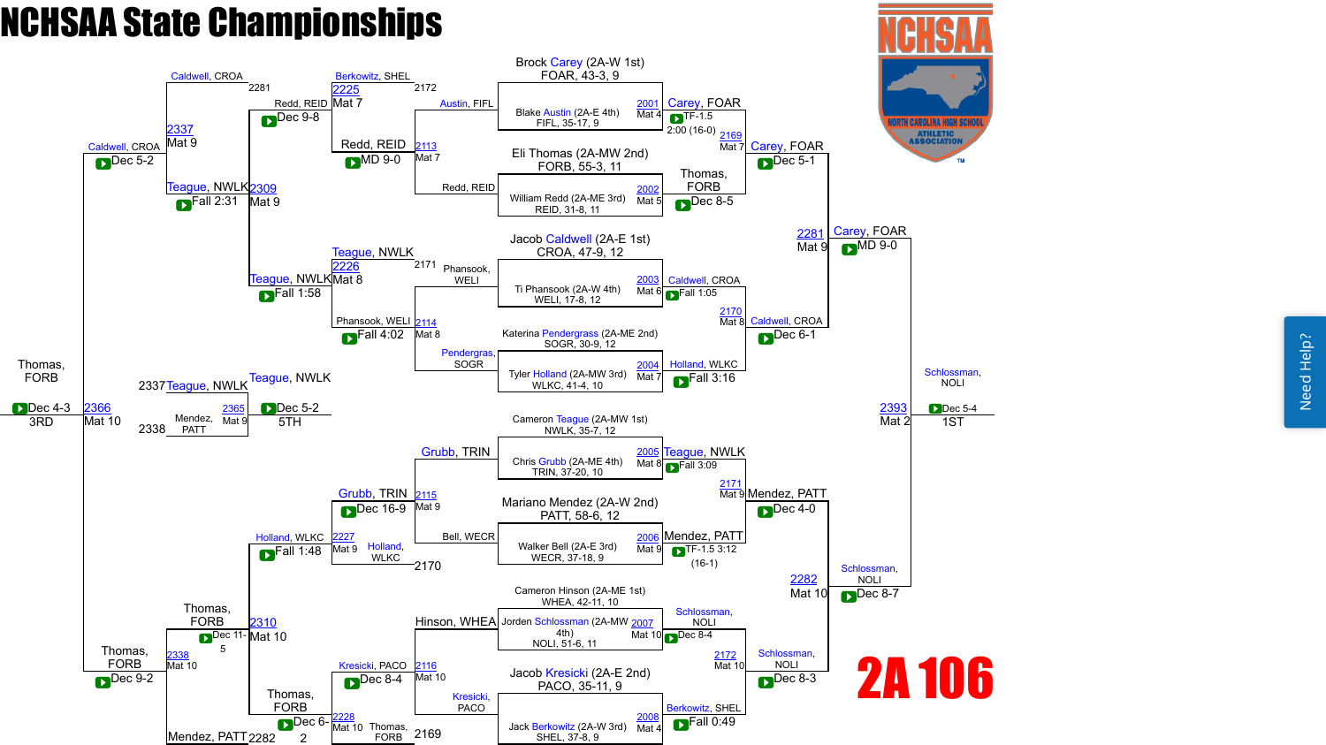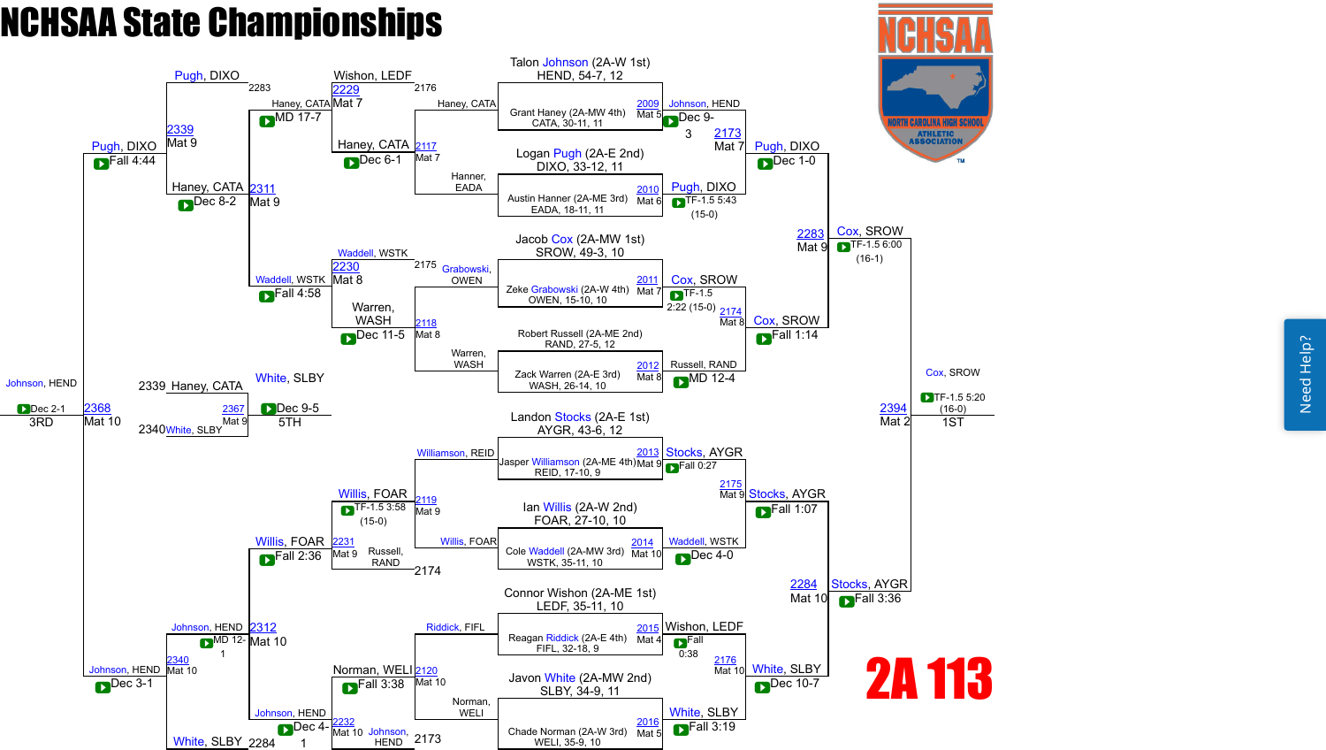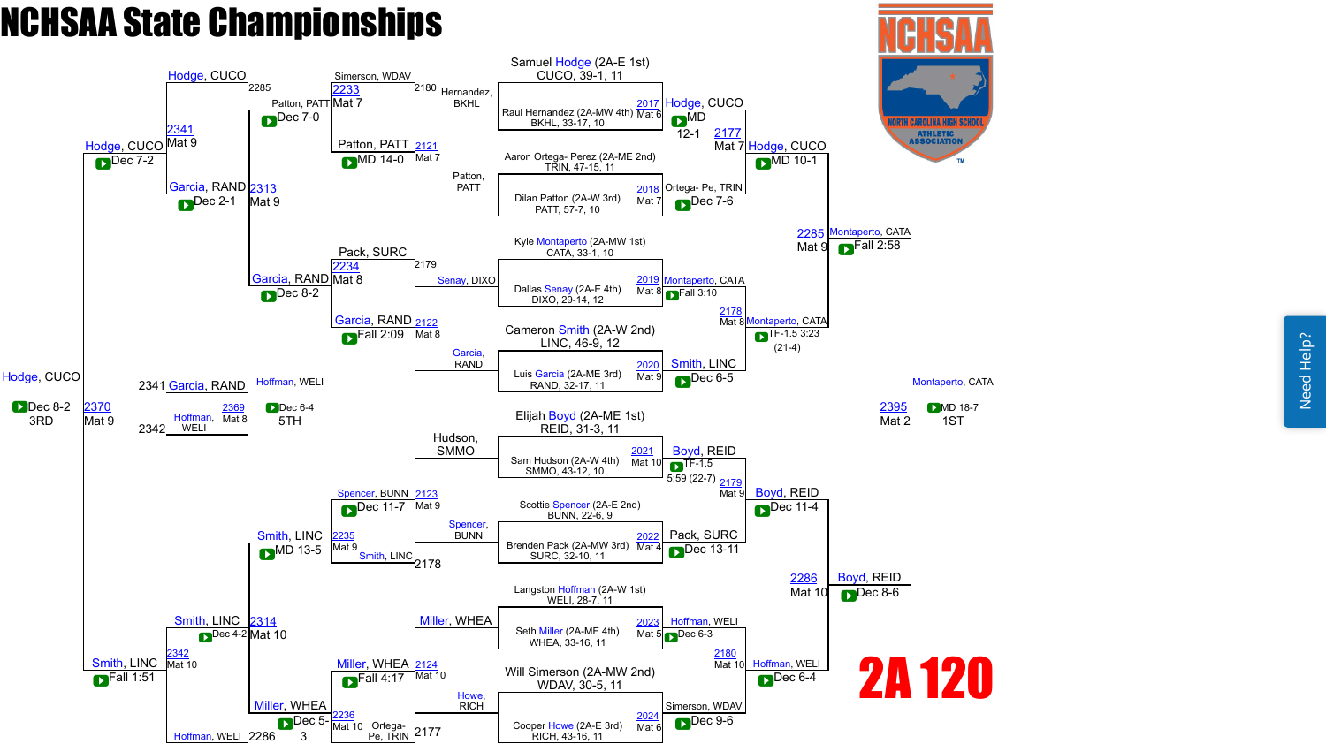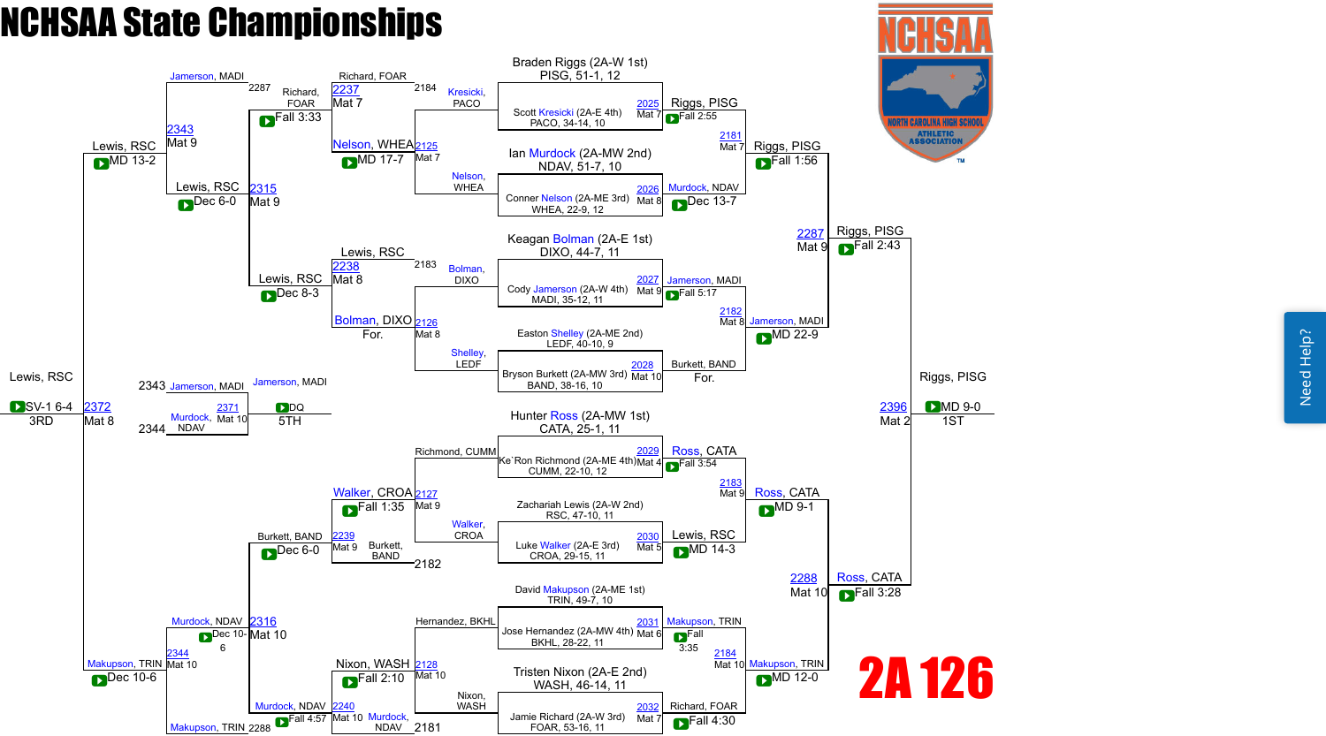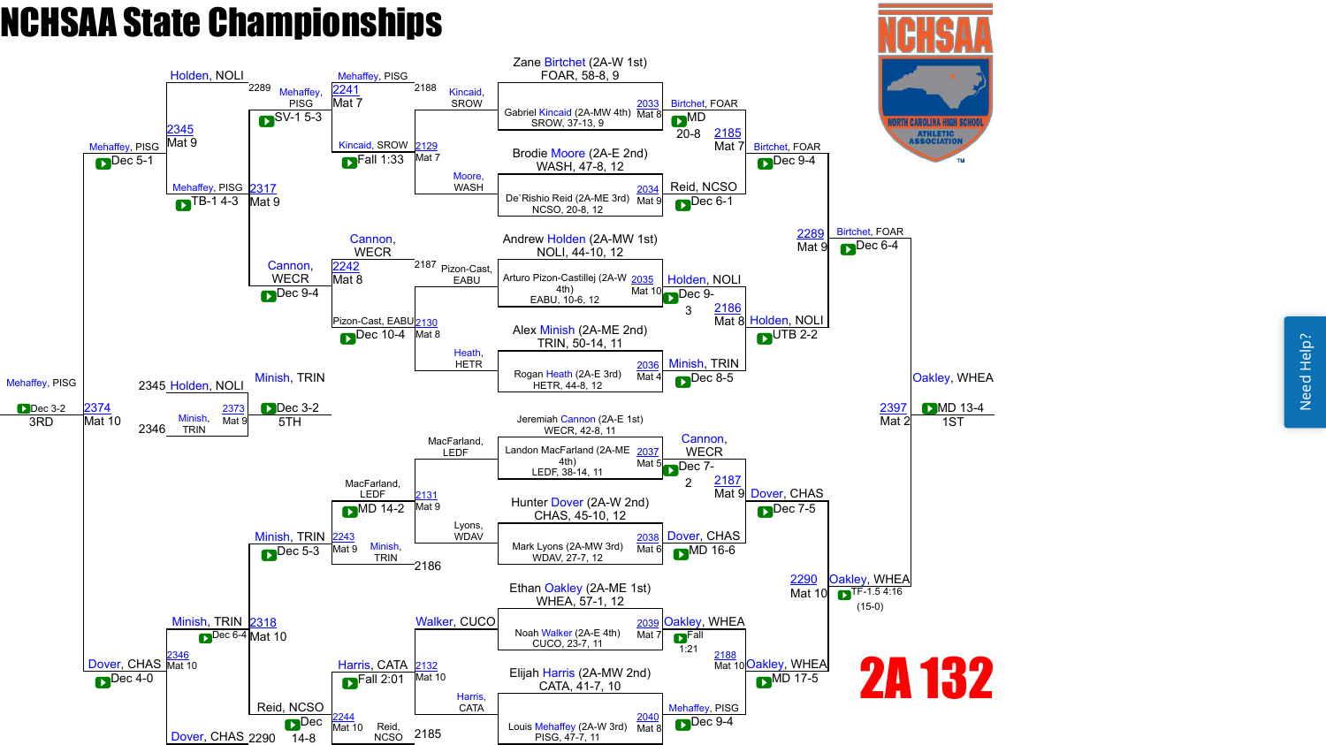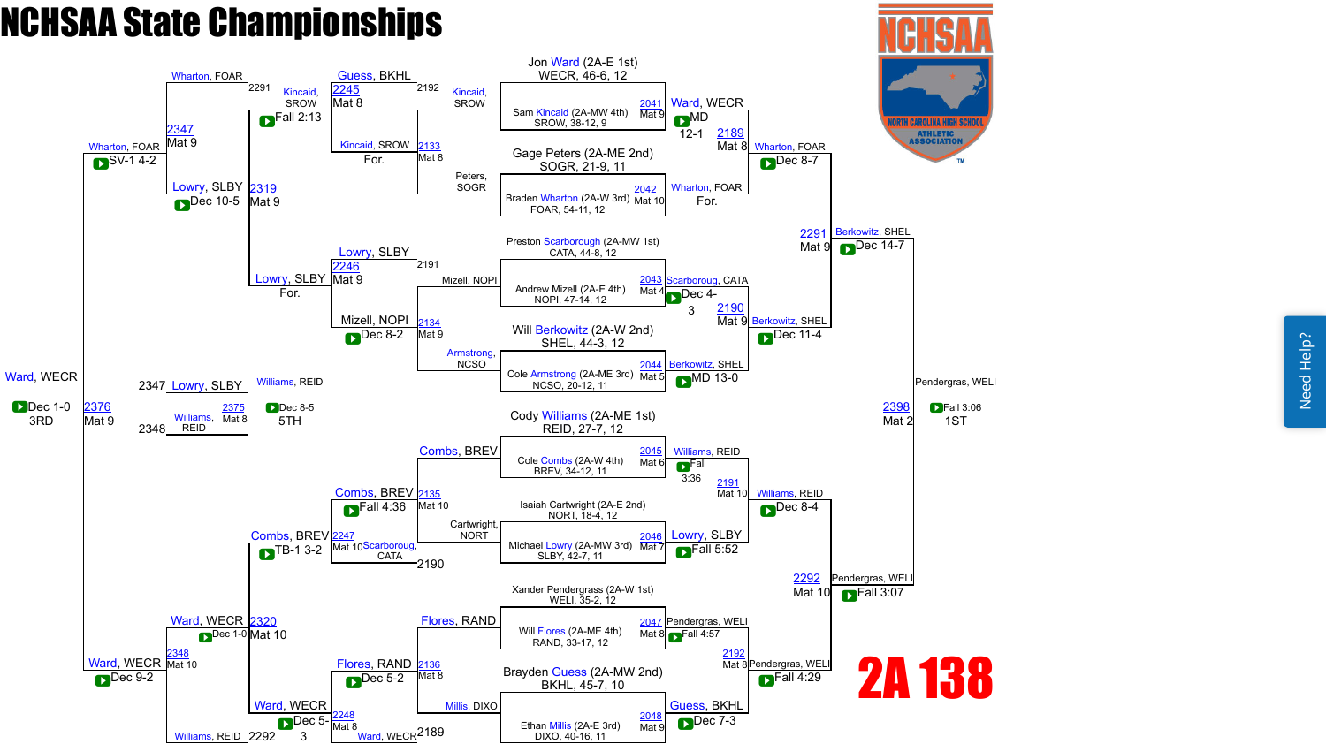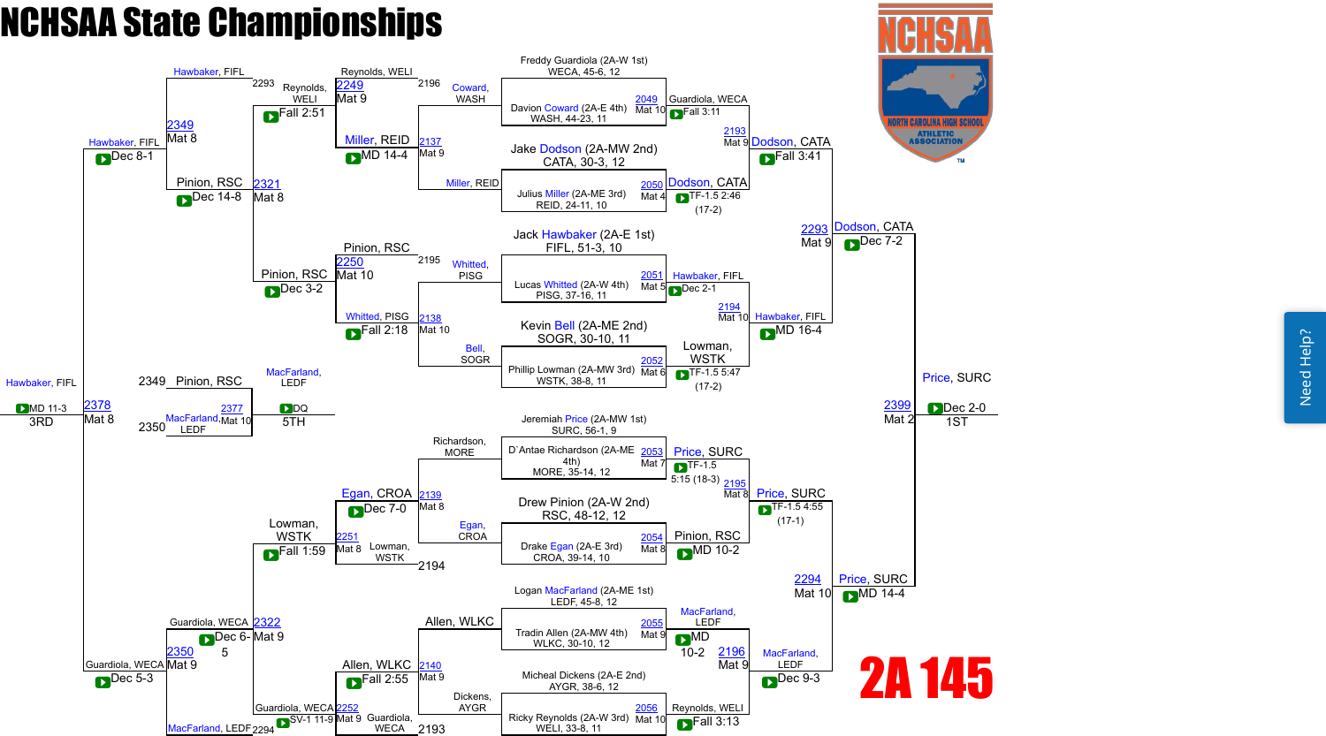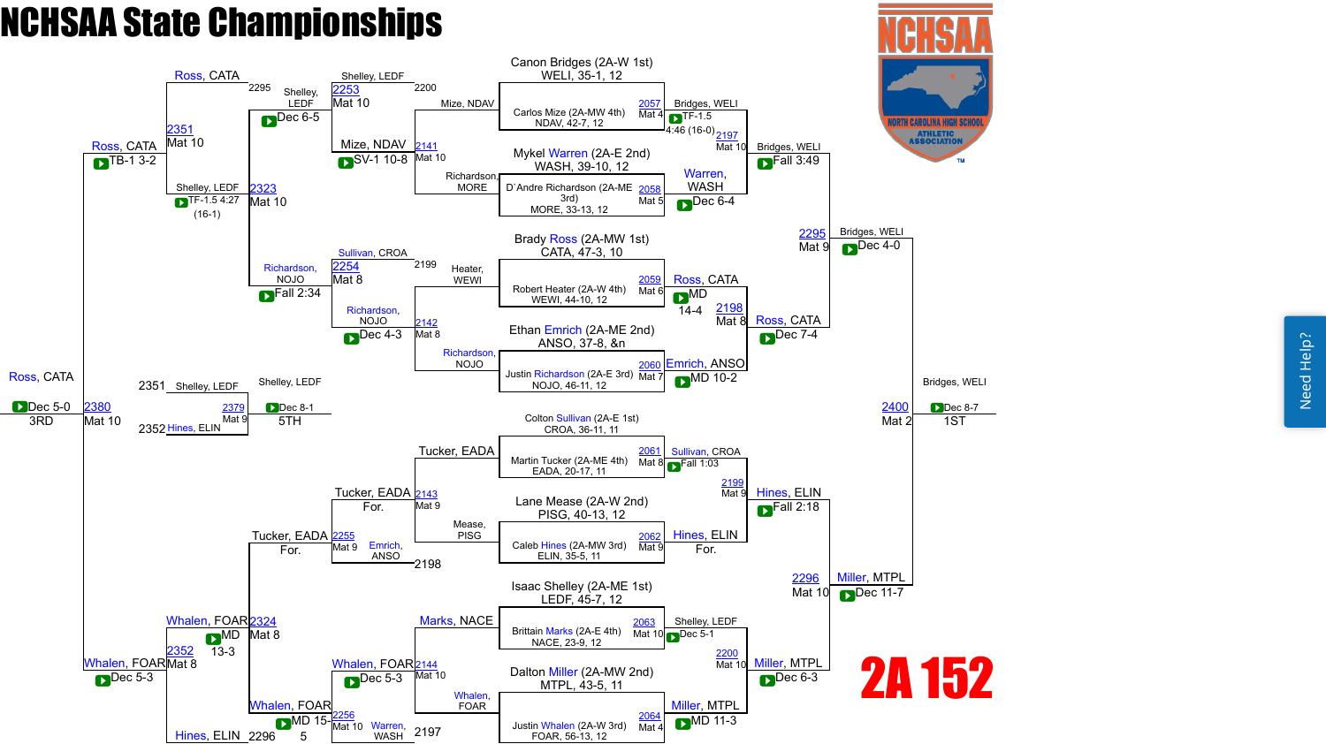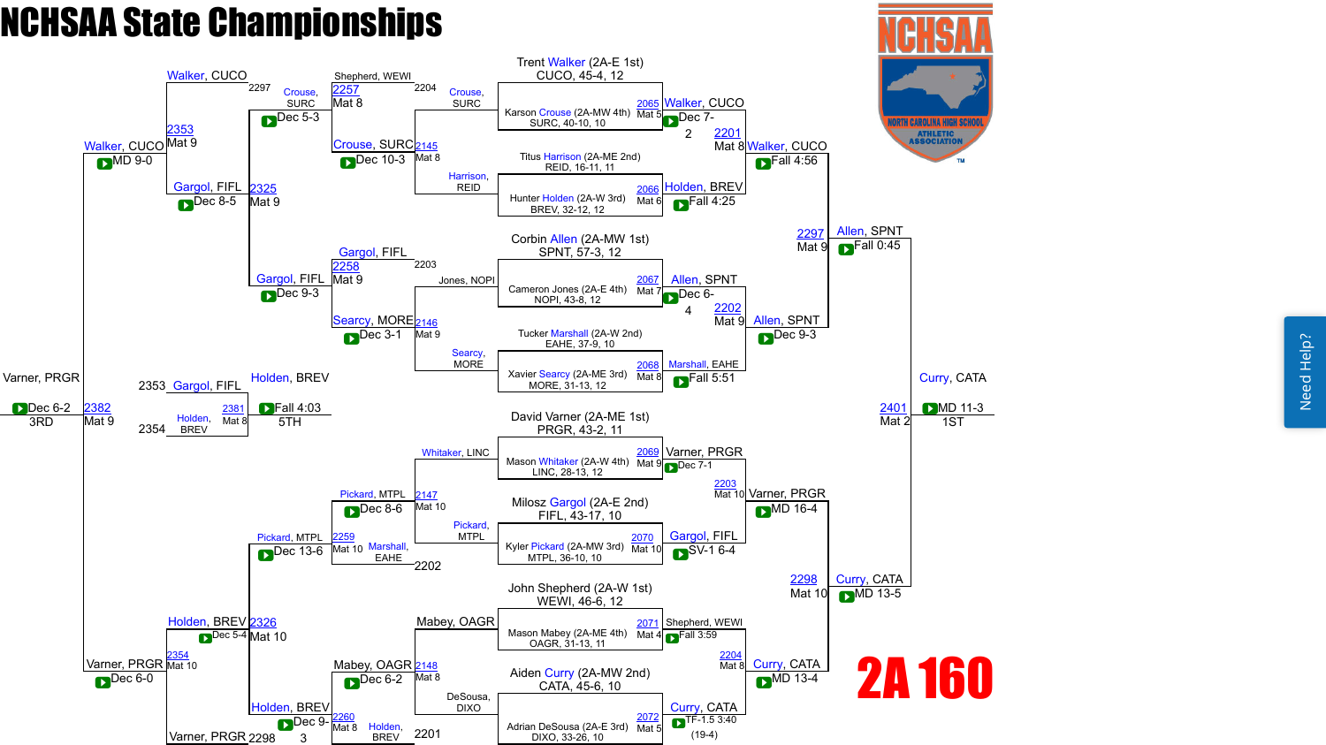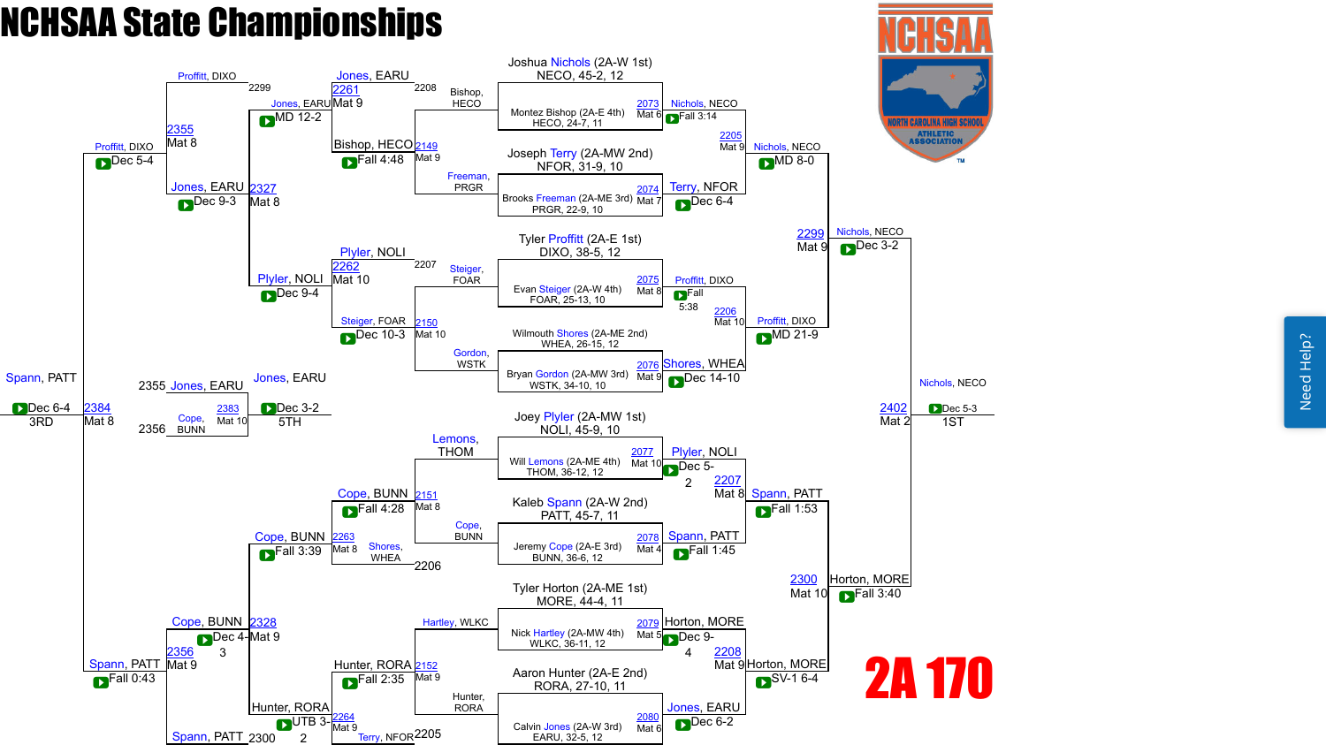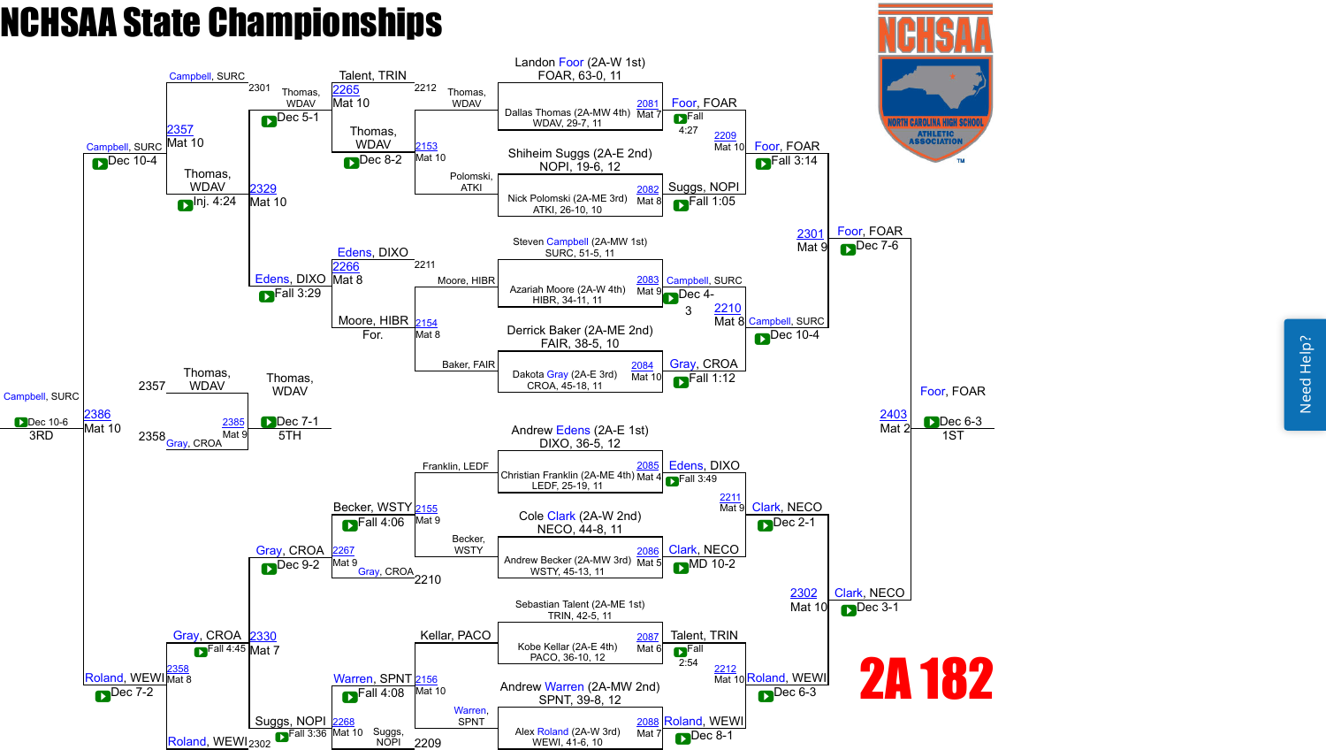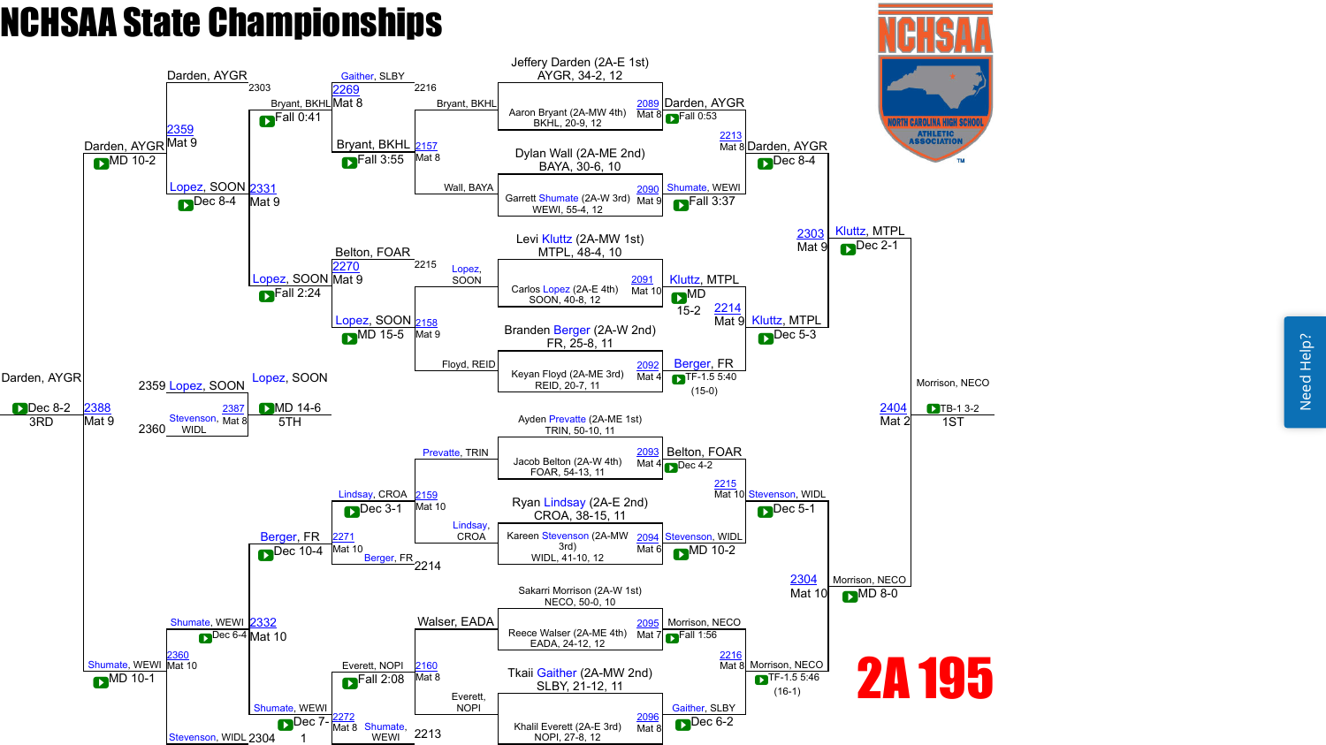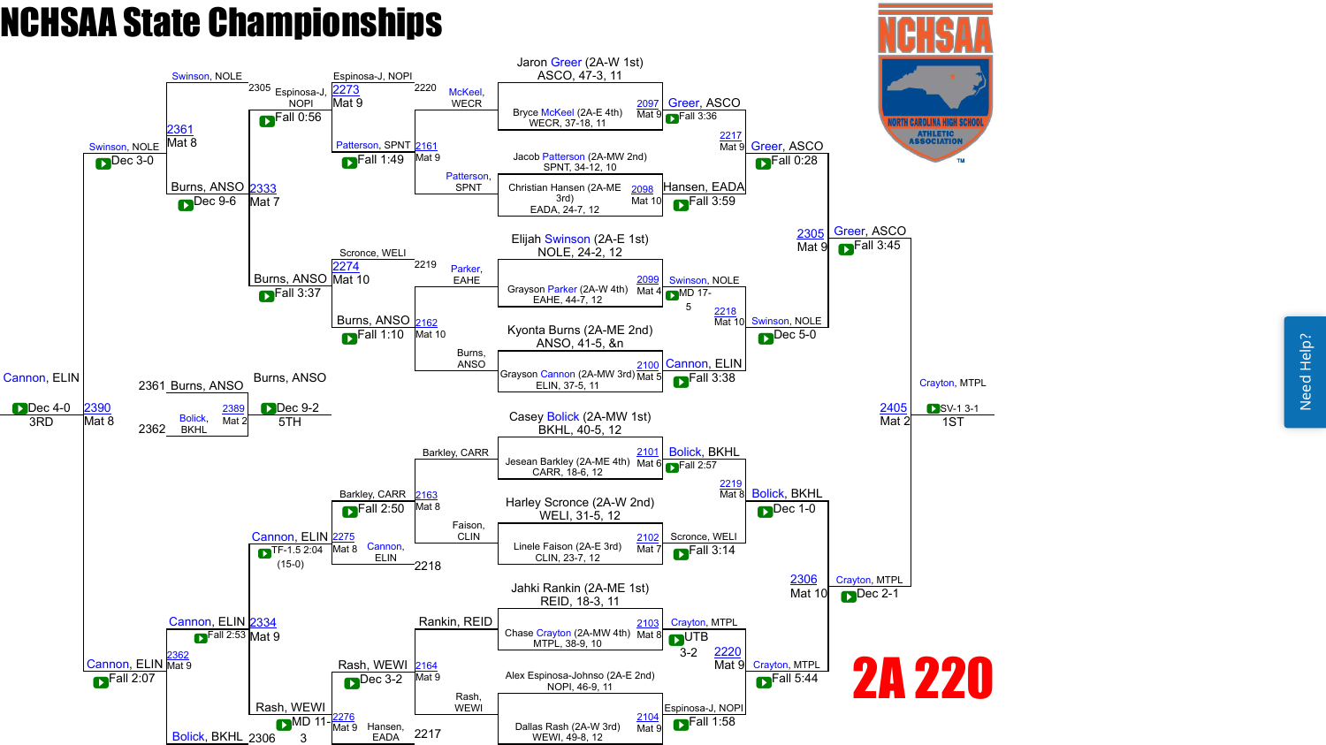